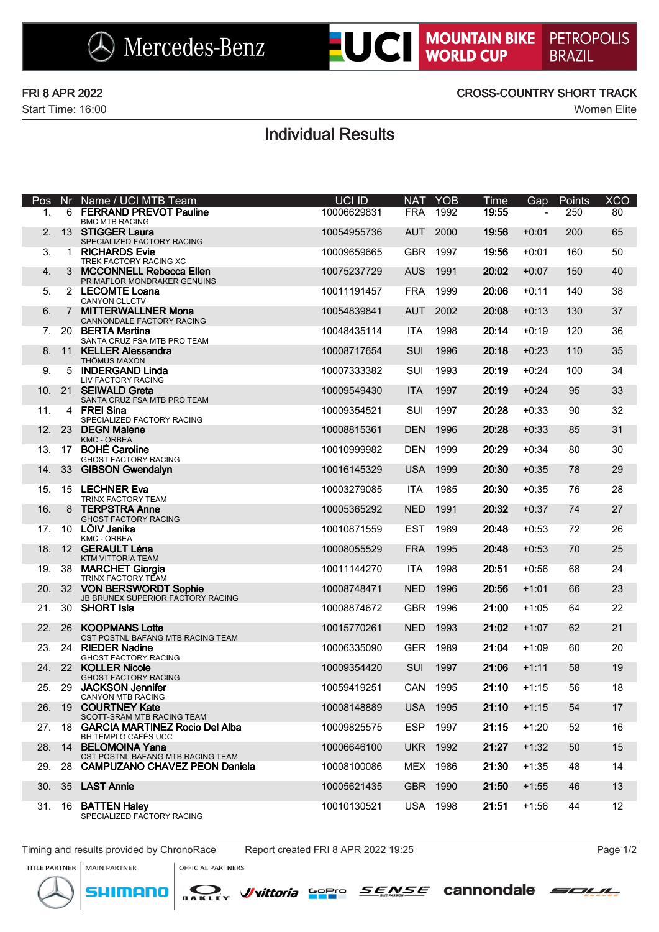

Start Time: 16:00 Women Elite

## FRI 8 APR 2022 CROSS-COUNTRY SHORT TRACK

# Individual Results

| <b>Pos</b> | Nr             | Name / UCI MTB Team                                           | UCI ID      | <b>NAT</b> | <b>YOB</b>      | Time          | Gap            | Points | <b>XCO</b>      |
|------------|----------------|---------------------------------------------------------------|-------------|------------|-----------------|---------------|----------------|--------|-----------------|
| 1.         |                | 6 FERRAND PREVOT Pauline<br><b>BMC MTB RACING</b>             | 10006629831 | <b>FRA</b> | 1992            | 19:55         | $\overline{a}$ | 250    | 80              |
| 2.         |                | 13 STIGGER Laura<br>SPECIALIZED FACTORY RACING                | 10054955736 | <b>AUT</b> | 2000            | 19:56         | $+0:01$        | 200    | 65              |
| 3.         |                | 1 RICHARDS Evie<br>TREK FACTORY RACING XC                     | 10009659665 |            | GBR 1997        | 19:56         | $+0:01$        | 160    | 50              |
| 4.         | 3              | <b>MCCONNELL Rebecca Ellen</b><br>PRIMAFLOR MONDRAKER GENUINS | 10075237729 | <b>AUS</b> | 1991            | 20:02         | $+0:07$        | 150    | 40              |
| 5.         |                | 2 LECOMTE Loana<br><b>CANYON CLLCTV</b>                       | 10011191457 | <b>FRA</b> | 1999            | 20:06         | $+0:11$        | 140    | 38              |
| 6.         | $\overline{7}$ | <b>MITTERWALLNER Mona</b><br>CANNONDALE FACTORY RACING        | 10054839841 | <b>AUT</b> | 2002            | 20:08         | $+0:13$        | 130    | 37              |
| 7.         |                | 20 BERTA Martina<br>SANTA CRUZ FSA MTB PRO TEAM               | 10048435114 | <b>ITA</b> | 1998            | 20:14         | $+0:19$        | 120    | 36              |
| 8.         |                | 11 KELLER Alessandra<br><b>THÖMUS MAXON</b>                   | 10008717654 | SUI        | 1996            | 20:18         | $+0:23$        | 110    | 35              |
| 9.         | 5              | <b>INDERGAND Linda</b><br>LIV FACTORY RACING                  | 10007333382 | SUI        | 1993            | 20:19         | $+0:24$        | 100    | 34              |
| 10.        |                | 21 SEIWALD Greta<br>SANTA CRUZ FSA MTB PRO TEAM               | 10009549430 | <b>ITA</b> | 1997            | 20:19         | $+0:24$        | 95     | 33              |
| 11.        |                | 4 FREI Sina<br>SPECIALIZED FACTORY RACING                     | 10009354521 | SUI        | 1997            | 20:28         | $+0:33$        | 90     | 32              |
| 12.        | 23             | <b>DEGN Malene</b><br><b>KMC - ORBEA</b>                      | 10008815361 | <b>DEN</b> | 1996            | 20:28         | $+0:33$        | 85     | 31              |
| 13.        | 17             | <b>BOHÉ Caroline</b><br>GHOST FACTORY RACING                  | 10010999982 | <b>DEN</b> | 1999            | 20:29         | $+0:34$        | 80     | 30              |
| 14.        | 33             | <b>GIBSON Gwendalyn</b>                                       | 10016145329 | <b>USA</b> | 1999            | 20:30         | $+0:35$        | 78     | 29              |
| 15.        |                | 15 LECHNER Eva<br>TRINX FACTORY TEAM                          | 10003279085 | <b>ITA</b> | 1985            | 20:30         | $+0:35$        | 76     | 28              |
| 16.        | 8              | <b>TERPSTRA Anne</b><br><b>GHOST FACTORY RACING</b>           | 10005365292 | <b>NED</b> | 1991            | 20:32         | $+0:37$        | 74     | 27              |
| 17.        |                | 10 LÕIV Janika<br><b>KMC - ORBEA</b>                          | 10010871559 | <b>EST</b> | 1989            | 20:48         | $+0:53$        | 72     | 26              |
| 18.        |                | 12 GERAULT Léna<br>KTM VITTORIA TEAM                          | 10008055529 | <b>FRA</b> | 1995            | 20:48         | $+0:53$        | 70     | 25              |
| 19.        |                | 38 MARCHET Giorgia<br>TRINX FACTORY TEAM                      | 10011144270 | <b>ITA</b> | 1998            | 20:51         | $+0:56$        | 68     | 24              |
| 20.        |                | 32 VON BERSWORDT Sophie<br>JB BRUNEX SUPERIOR FACTORY RACING  | 10008748471 | <b>NED</b> | 1996            | 20:56         | $+1:01$        | 66     | 23              |
| 21.        |                | 30 SHORT Isla                                                 | 10008874672 | <b>GBR</b> | 1996            | 21:00         | $+1:05$        | 64     | 22              |
| 22.        | -26            | <b>KOOPMANS Lotte</b><br>CST POSTNL BAFANG MTB RACING TEAM    | 10015770261 | <b>NED</b> | 1993            | 21:02         | $+1:07$        | 62     | 21              |
| 23.        |                | 24 RIEDER Nadine<br><b>GHOST FACTORY RACING</b>               | 10006335090 |            | GER 1989        | 21:04         | $+1:09$        | 60     | 20              |
|            |                | 24. 22 KOLLER Nicole<br><b>GHOST FACTORY RACING</b>           | 10009354420 | <b>SUI</b> | 1997            | 21:06         | $+1:11$        | 58     | 19              |
|            |                | 25. 29 JACKSON Jennifer<br>CANYON MTB RACING                  | 10059419251 |            | CAN 1995        | $21:10 +1:15$ |                | 56     | 18              |
|            | 26. 19         | <b>COURTNEY Kate</b><br>SCOTT-SRAM MTB RACING TEAM            | 10008148889 | USA        | 1995            | 21:10         | $+1:15$        | 54     | 17              |
|            | 27. 18         | <b>GARCIA MARTINEZ Rocio Del Alba</b><br>BH TEMPLO CAFÉS UCC  | 10009825575 | <b>ESP</b> | 1997            | 21:15         | $+1:20$        | 52     | 16              |
|            |                | 28. 14 BELOMOINA Yana<br>CST POSTNL BAFANG MTB RACING TEAM    | 10006646100 |            | <b>UKR 1992</b> | 21:27         | $+1:32$        | 50     | 15              |
|            | 29. 28         | <b>CAMPUZANO CHAVEZ PEON Daniela</b>                          | 10008100086 |            | MEX 1986        | 21:30         | $+1:35$        | 48     | 14              |
|            |                | 30. 35 LAST Annie                                             | 10005621435 |            | GBR 1990        | 21:50         | $+1:55$        | 46     | 13              |
|            | 31. 16         | <b>BATTEN Haley</b><br>SPECIALIZED FACTORY RACING             | 10010130521 |            | USA 1998        | 21:51         | $+1:56$        | 44     | 12 <sup>2</sup> |

Timing and results provided by ChronoRace Report created FRI 8 APR 2022 19:25 Page 1/2

nenn

**MAIN PARTNER**